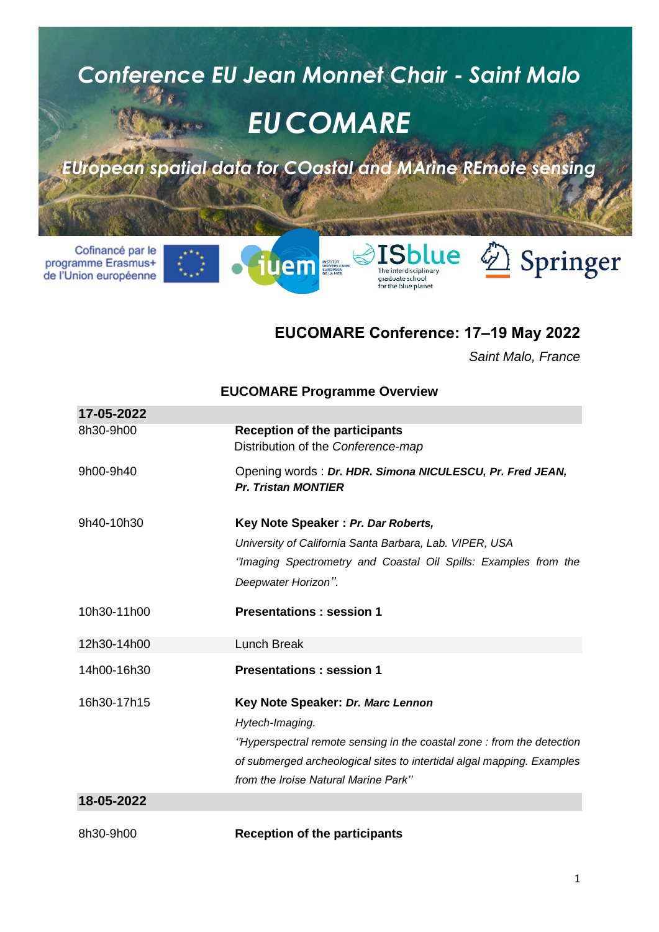

de l'Union européenne

#### **EUCOMARE Conference: 17–19 May 2022**

graduate school<br>for the blue planet

**EUCOMARE Programme Overview**

*Saint Malo, France*

|             | EUUUMARE FIUYI AIIIIIIE UVEI VIEW                                                      |  |  |  |
|-------------|----------------------------------------------------------------------------------------|--|--|--|
| 17-05-2022  |                                                                                        |  |  |  |
| 8h30-9h00   | <b>Reception of the participants</b><br>Distribution of the Conference-map             |  |  |  |
| 9h00-9h40   | Opening words: Dr. HDR. Simona NICULESCU, Pr. Fred JEAN,<br><b>Pr. Tristan MONTIER</b> |  |  |  |
| 9h40-10h30  | Key Note Speaker: Pr. Dar Roberts,                                                     |  |  |  |
|             | University of California Santa Barbara, Lab. VIPER, USA                                |  |  |  |
|             | "Imaging Spectrometry and Coastal Oil Spills: Examples from the                        |  |  |  |
|             | Deepwater Horizon".                                                                    |  |  |  |
| 10h30-11h00 | <b>Presentations: session 1</b>                                                        |  |  |  |
| 12h30-14h00 | <b>Lunch Break</b>                                                                     |  |  |  |
| 14h00-16h30 | <b>Presentations: session 1</b>                                                        |  |  |  |
| 16h30-17h15 | Key Note Speaker: Dr. Marc Lennon                                                      |  |  |  |
|             | Hytech-Imaging.                                                                        |  |  |  |
|             | "Hyperspectral remote sensing in the coastal zone : from the detection                 |  |  |  |
|             | of submerged archeological sites to intertidal algal mapping. Examples                 |  |  |  |
|             | from the Iroise Natural Marine Park"                                                   |  |  |  |
| 18-05-2022  |                                                                                        |  |  |  |
| 8h30-9h00   | <b>Reception of the participants</b>                                                   |  |  |  |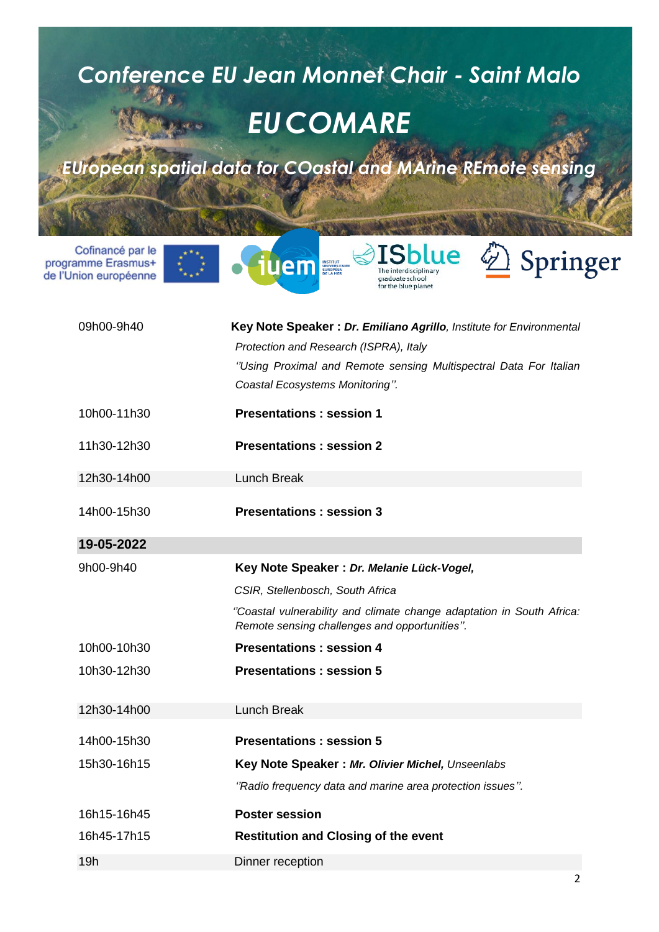# *Conference EU Jean Monnet Chair - Saint Malo EUCOMARE EUropean spatial data for COastal and MArine REmote sensing*

Cofinancé par le programme Erasmus+ de l'Union européenne









| 09h00-9h40  | Key Note Speaker: Dr. Emiliano Agrillo, Institute for Environmental<br>Protection and Research (ISPRA), Italy<br>"Using Proximal and Remote sensing Multispectral Data For Italian<br>Coastal Ecosystems Monitoring". |
|-------------|-----------------------------------------------------------------------------------------------------------------------------------------------------------------------------------------------------------------------|
| 10h00-11h30 | <b>Presentations: session 1</b>                                                                                                                                                                                       |
| 11h30-12h30 | <b>Presentations: session 2</b>                                                                                                                                                                                       |
| 12h30-14h00 | <b>Lunch Break</b>                                                                                                                                                                                                    |
| 14h00-15h30 | <b>Presentations: session 3</b>                                                                                                                                                                                       |
| 19-05-2022  |                                                                                                                                                                                                                       |
| 9h00-9h40   | Key Note Speaker : Dr. Melanie Lück-Vogel,                                                                                                                                                                            |
|             | CSIR, Stellenbosch, South Africa                                                                                                                                                                                      |
|             | "Coastal vulnerability and climate change adaptation in South Africa:<br>Remote sensing challenges and opportunities".                                                                                                |
| 10h00-10h30 | <b>Presentations: session 4</b>                                                                                                                                                                                       |
| 10h30-12h30 | <b>Presentations: session 5</b>                                                                                                                                                                                       |
| 12h30-14h00 | <b>Lunch Break</b>                                                                                                                                                                                                    |
| 14h00-15h30 | <b>Presentations: session 5</b>                                                                                                                                                                                       |
| 15h30-16h15 | Key Note Speaker : Mr. Olivier Michel, Unseenlabs                                                                                                                                                                     |
|             | "Radio frequency data and marine area protection issues".                                                                                                                                                             |
| 16h15-16h45 | <b>Poster session</b>                                                                                                                                                                                                 |
| 16h45-17h15 | <b>Restitution and Closing of the event</b>                                                                                                                                                                           |
| 19h         | Dinner reception                                                                                                                                                                                                      |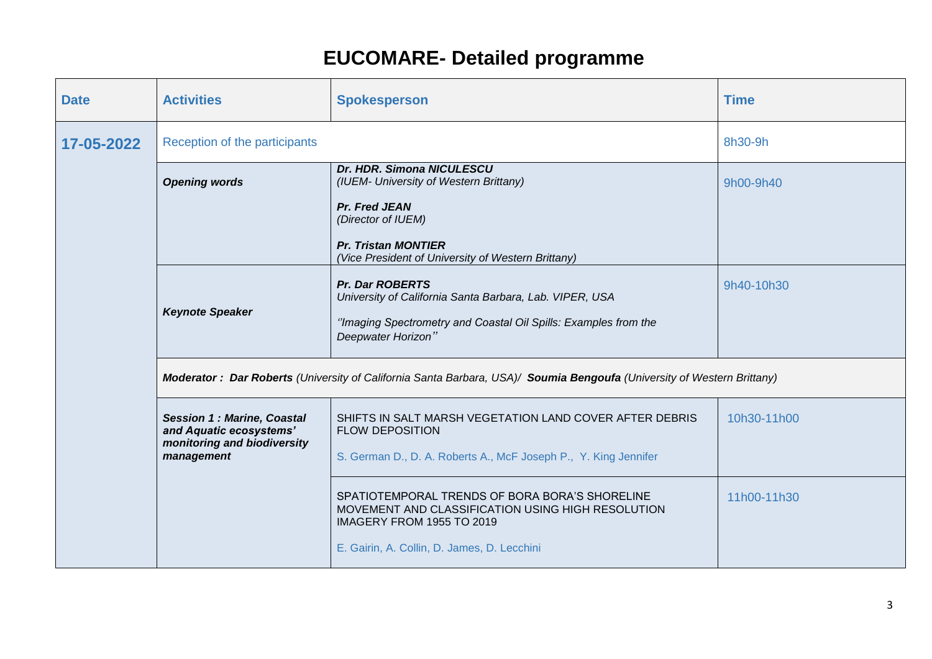| <b>Date</b> | <b>Activities</b>                                                                                                      | <b>Spokesperson</b>                                                                                                              | <b>Time</b> |  |
|-------------|------------------------------------------------------------------------------------------------------------------------|----------------------------------------------------------------------------------------------------------------------------------|-------------|--|
| 17-05-2022  | Reception of the participants                                                                                          |                                                                                                                                  | 8h30-9h     |  |
|             | <b>Opening words</b>                                                                                                   | Dr. HDR. Simona NICULESCU<br>(IUEM- University of Western Brittany)                                                              | 9h00-9h40   |  |
|             |                                                                                                                        | <b>Pr. Fred JEAN</b><br>(Director of IUEM)                                                                                       |             |  |
|             |                                                                                                                        | <b>Pr. Tristan MONTIER</b><br>(Vice President of University of Western Brittany)                                                 |             |  |
|             | <b>Keynote Speaker</b>                                                                                                 | <b>Pr. Dar ROBERTS</b><br>University of California Santa Barbara, Lab. VIPER, USA                                                | 9h40-10h30  |  |
|             |                                                                                                                        | "Imaging Spectrometry and Coastal Oil Spills: Examples from the<br>Deepwater Horizon"                                            |             |  |
|             | Moderator: Dar Roberts (University of California Santa Barbara, USA)/ Soumia Bengoufa (University of Western Brittany) |                                                                                                                                  |             |  |
|             | <b>Session 1: Marine, Coastal</b><br>and Aquatic ecosystems'<br>monitoring and biodiversity                            | SHIFTS IN SALT MARSH VEGETATION LAND COVER AFTER DEBRIS<br><b>FLOW DEPOSITION</b>                                                | 10h30-11h00 |  |
|             | management                                                                                                             | S. German D., D. A. Roberts A., McF Joseph P., Y. King Jennifer                                                                  |             |  |
|             |                                                                                                                        | SPATIOTEMPORAL TRENDS OF BORA BORA'S SHORELINE<br>MOVEMENT AND CLASSIFICATION USING HIGH RESOLUTION<br>IMAGERY FROM 1955 TO 2019 | 11h00-11h30 |  |
|             |                                                                                                                        | E. Gairin, A. Collin, D. James, D. Lecchini                                                                                      |             |  |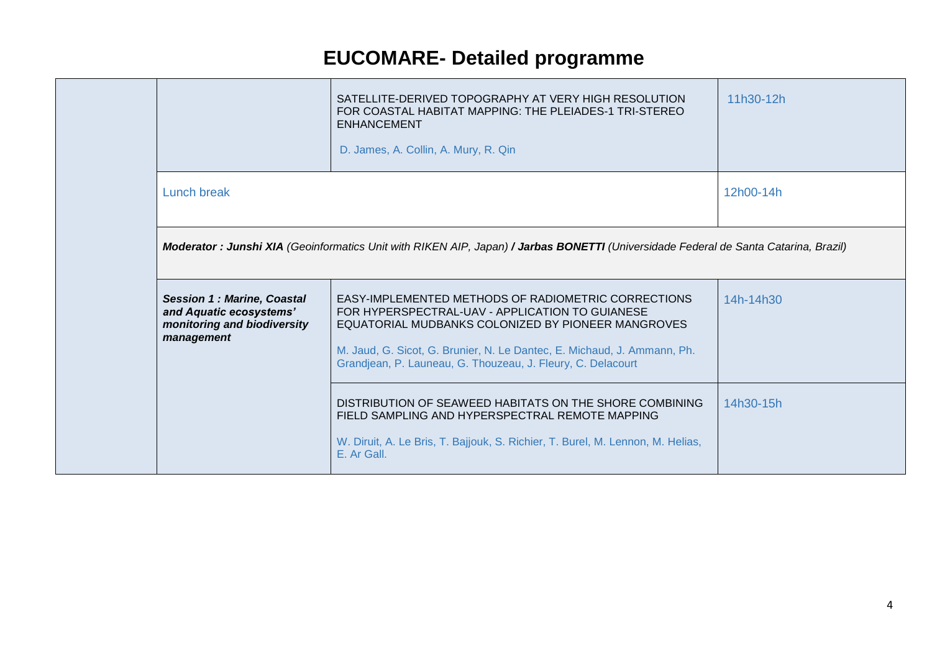|  |                                                                                                           | SATELLITE-DERIVED TOPOGRAPHY AT VERY HIGH RESOLUTION<br>FOR COASTAL HABITAT MAPPING: THE PLEIADES-1 TRI-STEREO<br><b>ENHANCEMENT</b><br>D. James, A. Collin, A. Mury, R. Qin                                                                                                                           | 11h30-12h |
|--|-----------------------------------------------------------------------------------------------------------|--------------------------------------------------------------------------------------------------------------------------------------------------------------------------------------------------------------------------------------------------------------------------------------------------------|-----------|
|  | Lunch break                                                                                               |                                                                                                                                                                                                                                                                                                        | 12h00-14h |
|  |                                                                                                           | Moderator : Junshi XIA (Geoinformatics Unit with RIKEN AIP, Japan) / Jarbas BONETTI (Universidade Federal de Santa Catarina, Brazil)                                                                                                                                                                   |           |
|  | <b>Session 1: Marine, Coastal</b><br>and Aquatic ecosystems'<br>monitoring and biodiversity<br>management | EASY-IMPLEMENTED METHODS OF RADIOMETRIC CORRECTIONS<br>FOR HYPERSPECTRAL-UAV - APPLICATION TO GUIANESE<br>EQUATORIAL MUDBANKS COLONIZED BY PIONEER MANGROVES<br>M. Jaud, G. Sicot, G. Brunier, N. Le Dantec, E. Michaud, J. Ammann, Ph.<br>Grandjean, P. Launeau, G. Thouzeau, J. Fleury, C. Delacourt | 14h-14h30 |
|  |                                                                                                           | DISTRIBUTION OF SEAWEED HABITATS ON THE SHORE COMBINING<br>FIELD SAMPLING AND HYPERSPECTRAL REMOTE MAPPING<br>W. Diruit, A. Le Bris, T. Bajjouk, S. Richier, T. Burel, M. Lennon, M. Helias,<br>E. Ar Gall.                                                                                            | 14h30-15h |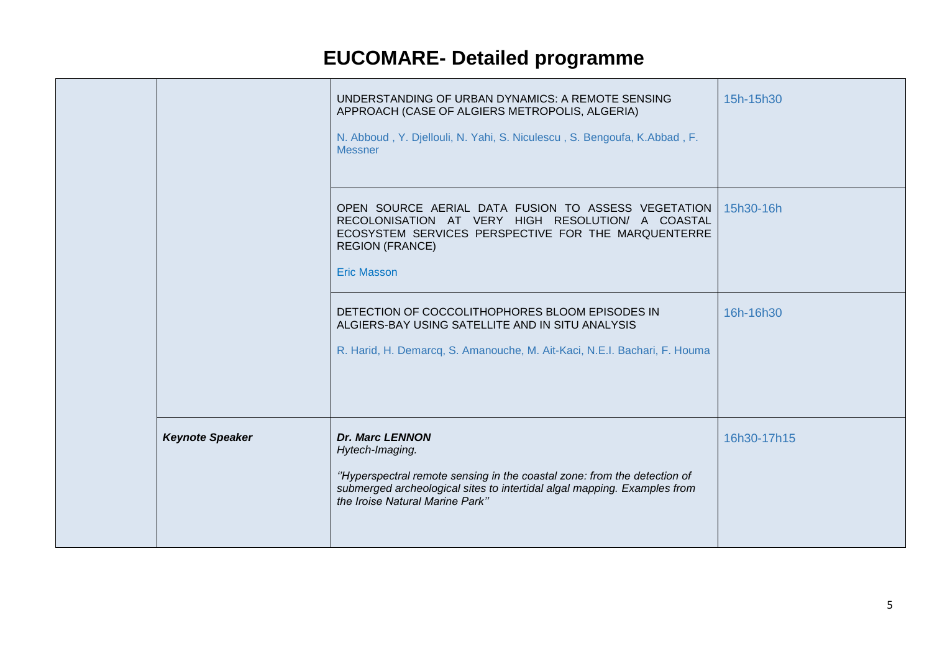|                        | UNDERSTANDING OF URBAN DYNAMICS: A REMOTE SENSING<br>APPROACH (CASE OF ALGIERS METROPOLIS, ALGERIA)<br>N. Abboud, Y. Djellouli, N. Yahi, S. Niculescu, S. Bengoufa, K.Abbad, F.<br><b>Messner</b>                                    | 15h-15h30   |
|------------------------|--------------------------------------------------------------------------------------------------------------------------------------------------------------------------------------------------------------------------------------|-------------|
|                        | OPEN SOURCE AERIAL DATA FUSION TO ASSESS VEGETATION<br>RECOLONISATION AT VERY HIGH RESOLUTION/ A COASTAL<br>ECOSYSTEM SERVICES PERSPECTIVE FOR THE MARQUENTERRE<br><b>REGION (FRANCE)</b><br><b>Eric Masson</b>                      | 15h30-16h   |
|                        | DETECTION OF COCCOLITHOPHORES BLOOM EPISODES IN<br>ALGIERS-BAY USING SATELLITE AND IN SITU ANALYSIS<br>R. Harid, H. Demarcq, S. Amanouche, M. Ait-Kaci, N.E.I. Bachari, F. Houma                                                     | 16h-16h30   |
| <b>Keynote Speaker</b> | <b>Dr. Marc LENNON</b><br>Hytech-Imaging.<br>"Hyperspectral remote sensing in the coastal zone: from the detection of<br>submerged archeological sites to intertidal algal mapping. Examples from<br>the Iroise Natural Marine Park" | 16h30-17h15 |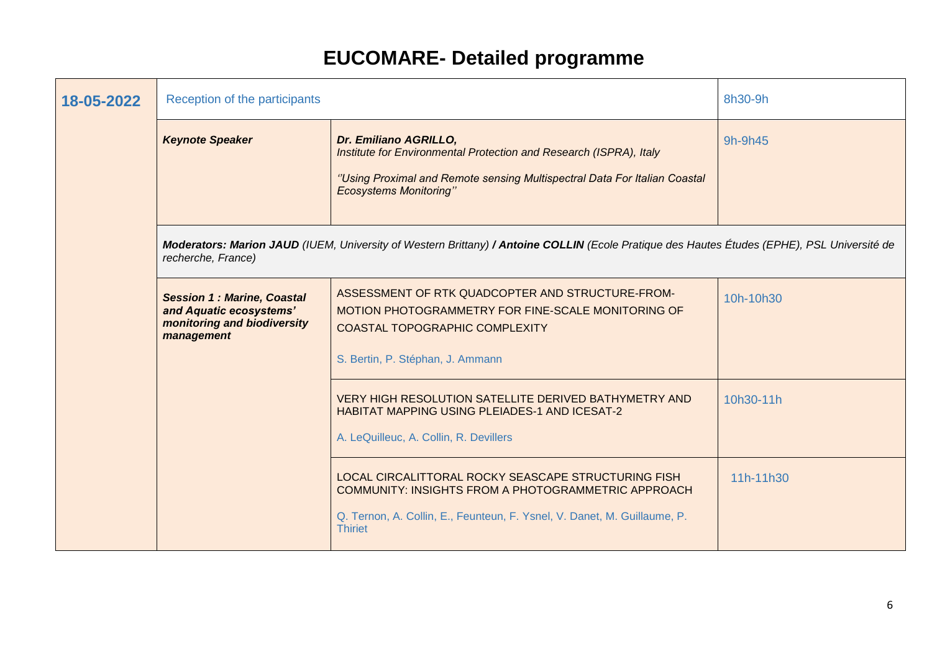| 18-05-2022 | Reception of the participants                                                                             |                                                                                                                                                                                                                 | 8h30-9h   |
|------------|-----------------------------------------------------------------------------------------------------------|-----------------------------------------------------------------------------------------------------------------------------------------------------------------------------------------------------------------|-----------|
|            | <b>Keynote Speaker</b>                                                                                    | Dr. Emiliano AGRILLO,<br>Institute for Environmental Protection and Research (ISPRA), Italy<br>"Using Proximal and Remote sensing Multispectral Data For Italian Coastal<br><b>Ecosystems Monitoring"</b>       | 9h-9h45   |
|            | recherche, France)                                                                                        | Moderators: Marion JAUD (IUEM, University of Western Brittany) / Antoine COLLIN (Ecole Pratique des Hautes Études (EPHE), PSL Université de                                                                     |           |
|            | <b>Session 1: Marine, Coastal</b><br>and Aquatic ecosystems'<br>monitoring and biodiversity<br>management | ASSESSMENT OF RTK QUADCOPTER AND STRUCTURE-FROM-<br>MOTION PHOTOGRAMMETRY FOR FINE-SCALE MONITORING OF<br>COASTAL TOPOGRAPHIC COMPLEXITY<br>S. Bertin, P. Stéphan, J. Ammann                                    | 10h-10h30 |
|            |                                                                                                           | VERY HIGH RESOLUTION SATELLITE DERIVED BATHYMETRY AND<br>HABITAT MAPPING USING PLEIADES-1 AND ICESAT-2<br>A. LeQuilleuc, A. Collin, R. Devillers                                                                | 10h30-11h |
|            |                                                                                                           | LOCAL CIRCALITTORAL ROCKY SEASCAPE STRUCTURING FISH<br><b>COMMUNITY: INSIGHTS FROM A PHOTOGRAMMETRIC APPROACH</b><br>Q. Ternon, A. Collin, E., Feunteun, F. Ysnel, V. Danet, M. Guillaume, P.<br><b>Thiriet</b> | 11h-11h30 |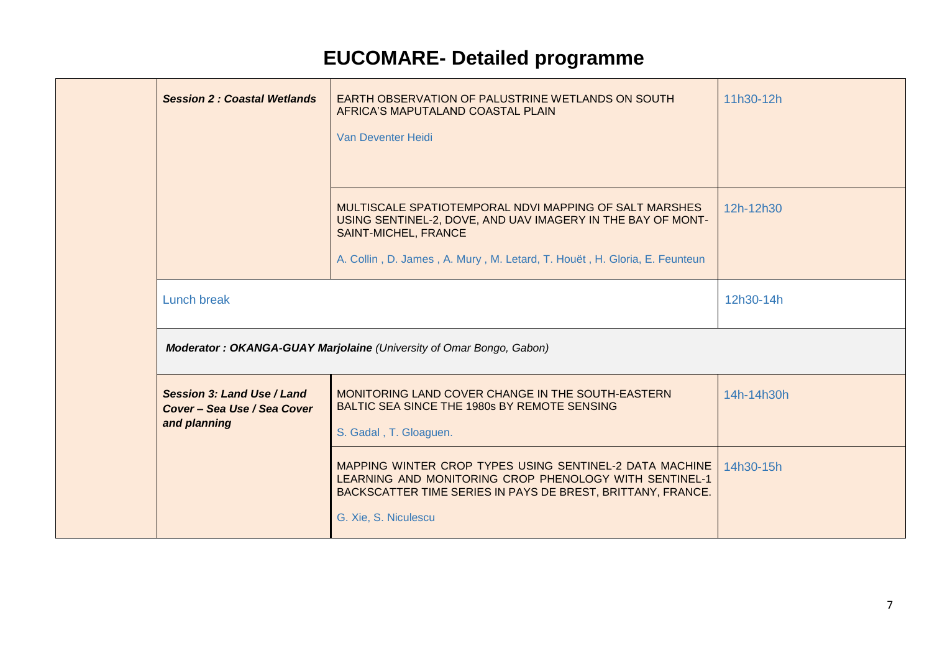|                                                                           | EARTH OBSERVATION OF PALUSTRINE WETLANDS ON SOUTH<br>AFRICA'S MAPUTALAND COASTAL PLAIN<br>Van Deventer Heidi                                                                                                                      | 11h30-12h  |
|---------------------------------------------------------------------------|-----------------------------------------------------------------------------------------------------------------------------------------------------------------------------------------------------------------------------------|------------|
|                                                                           | MULTISCALE SPATIOTEMPORAL NDVI MAPPING OF SALT MARSHES<br>USING SENTINEL-2, DOVE, AND UAV IMAGERY IN THE BAY OF MONT-<br><b>SAINT-MICHEL, FRANCE</b><br>A. Collin, D. James, A. Mury, M. Letard, T. Houët, H. Gloria, E. Feunteun | 12h-12h30  |
| <b>Lunch break</b>                                                        |                                                                                                                                                                                                                                   | 12h30-14h  |
|                                                                           |                                                                                                                                                                                                                                   |            |
|                                                                           | Moderator: OKANGA-GUAY Marjolaine (University of Omar Bongo, Gabon)                                                                                                                                                               |            |
| Session 3: Land Use / Land<br>Cover - Sea Use / Sea Cover<br>and planning | MONITORING LAND COVER CHANGE IN THE SOUTH-EASTERN<br>BALTIC SEA SINCE THE 1980s BY REMOTE SENSING<br>S. Gadal, T. Gloaguen.                                                                                                       | 14h-14h30h |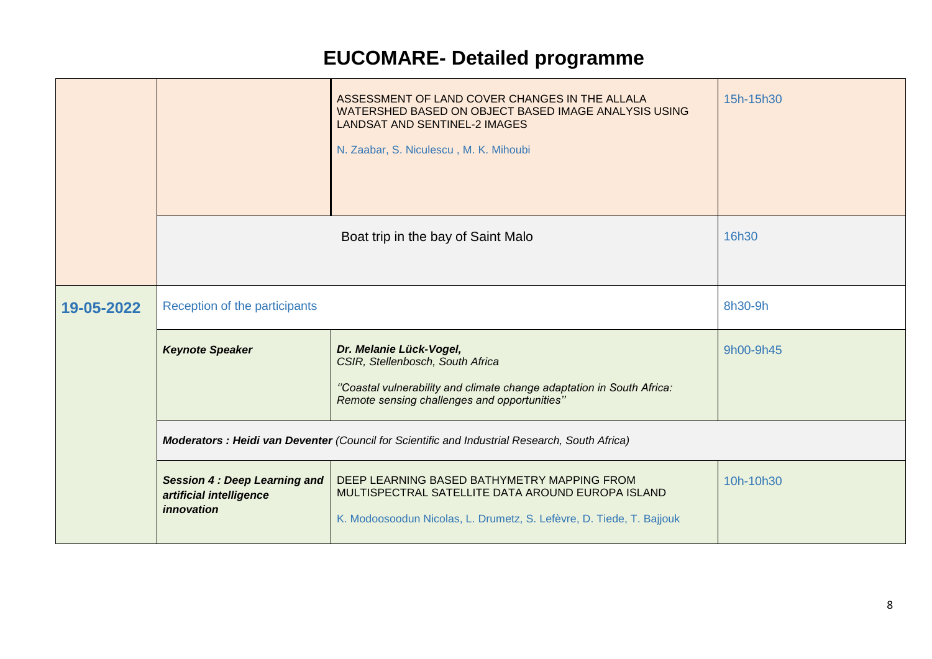|            |                                                                              | ASSESSMENT OF LAND COVER CHANGES IN THE ALLALA<br>WATERSHED BASED ON OBJECT BASED IMAGE ANALYSIS USING<br><b>LANDSAT AND SENTINEL-2 IMAGES</b><br>N. Zaabar, S. Niculescu, M. K. Mihoubi | 15h-15h30 |
|------------|------------------------------------------------------------------------------|------------------------------------------------------------------------------------------------------------------------------------------------------------------------------------------|-----------|
|            |                                                                              | Boat trip in the bay of Saint Malo                                                                                                                                                       | 16h30     |
| 19-05-2022 | Reception of the participants                                                |                                                                                                                                                                                          | 8h30-9h   |
|            | <b>Keynote Speaker</b>                                                       | Dr. Melanie Lück-Vogel,<br>CSIR, Stellenbosch, South Africa<br>"Coastal vulnerability and climate change adaptation in South Africa:<br>Remote sensing challenges and opportunities"     | 9h00-9h45 |
|            |                                                                              | Moderators : Heidi van Deventer (Council for Scientific and Industrial Research, South Africa)                                                                                           |           |
|            | <b>Session 4: Deep Learning and</b><br>artificial intelligence<br>innovation | DEEP LEARNING BASED BATHYMETRY MAPPING FROM<br>MULTISPECTRAL SATELLITE DATA AROUND EUROPA ISLAND<br>K. Modoosoodun Nicolas, L. Drumetz, S. Lefèvre, D. Tiede, T. Bajjouk                 | 10h-10h30 |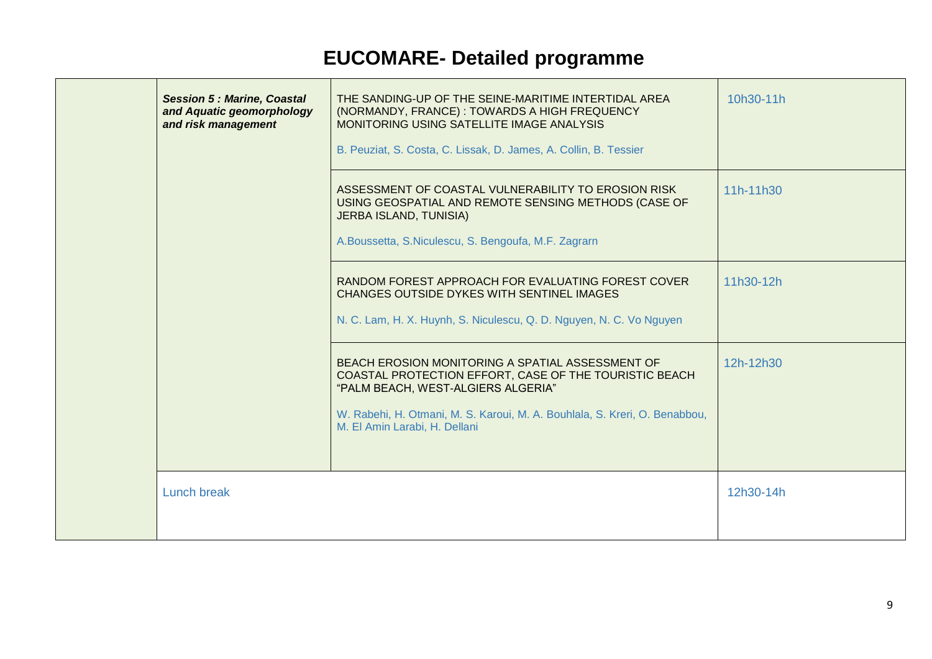| <b>Session 5: Marine, Coastal</b><br>and Aquatic geomorphology<br>and risk management | THE SANDING-UP OF THE SEINE-MARITIME INTERTIDAL AREA<br>(NORMANDY, FRANCE): TOWARDS A HIGH FREQUENCY<br>MONITORING USING SATELLITE IMAGE ANALYSIS<br>B. Peuziat, S. Costa, C. Lissak, D. James, A. Collin, B. Tessier                                           | 10h30-11h |
|---------------------------------------------------------------------------------------|-----------------------------------------------------------------------------------------------------------------------------------------------------------------------------------------------------------------------------------------------------------------|-----------|
|                                                                                       | ASSESSMENT OF COASTAL VULNERABILITY TO EROSION RISK<br>USING GEOSPATIAL AND REMOTE SENSING METHODS (CASE OF<br><b>JERBA ISLAND, TUNISIA)</b><br>A.Boussetta, S.Niculescu, S. Bengoufa, M.F. Zagrarn                                                             | 11h-11h30 |
|                                                                                       | RANDOM FOREST APPROACH FOR EVALUATING FOREST COVER<br>CHANGES OUTSIDE DYKES WITH SENTINEL IMAGES<br>N. C. Lam, H. X. Huynh, S. Niculescu, Q. D. Nguyen, N. C. Vo Nguyen                                                                                         | 11h30-12h |
|                                                                                       | BEACH EROSION MONITORING A SPATIAL ASSESSMENT OF<br>COASTAL PROTECTION EFFORT, CASE OF THE TOURISTIC BEACH<br>"PALM BEACH, WEST-ALGIERS ALGERIA"<br>W. Rabehi, H. Otmani, M. S. Karoui, M. A. Bouhlala, S. Kreri, O. Benabbou,<br>M. El Amin Larabi, H. Dellani | 12h-12h30 |
| Lunch break                                                                           |                                                                                                                                                                                                                                                                 | 12h30-14h |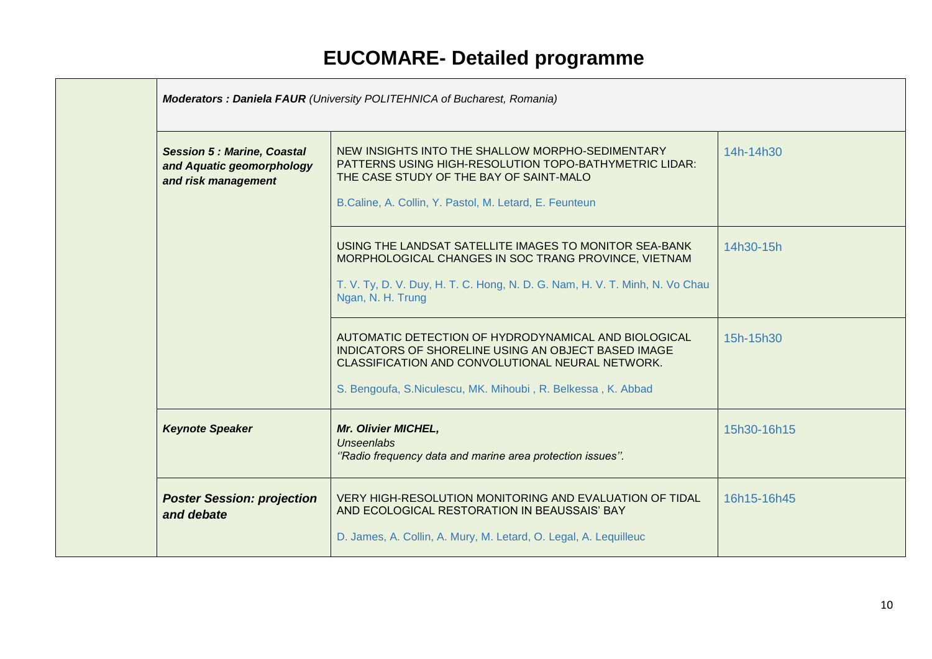| <b>Poster Session: projection</b><br>and debate                                       | VERY HIGH-RESOLUTION MONITORING AND EVALUATION OF TIDAL<br>AND ECOLOGICAL RESTORATION IN BEAUSSAIS' BAY<br>D. James, A. Collin, A. Mury, M. Letard, O. Legal, A. Lequilleuc                                                     | 16h15-16h45 |
|---------------------------------------------------------------------------------------|---------------------------------------------------------------------------------------------------------------------------------------------------------------------------------------------------------------------------------|-------------|
| <b>Keynote Speaker</b>                                                                | Mr. Olivier MICHEL,<br><b>Unseenlabs</b><br>"Radio frequency data and marine area protection issues".                                                                                                                           | 15h30-16h15 |
|                                                                                       | AUTOMATIC DETECTION OF HYDRODYNAMICAL AND BIOLOGICAL<br>INDICATORS OF SHORELINE USING AN OBJECT BASED IMAGE<br>CLASSIFICATION AND CONVOLUTIONAL NEURAL NETWORK.<br>S. Bengoufa, S.Niculescu, MK. Mihoubi, R. Belkessa, K. Abbad | 15h-15h30   |
|                                                                                       | USING THE LANDSAT SATELLITE IMAGES TO MONITOR SEA-BANK<br>MORPHOLOGICAL CHANGES IN SOC TRANG PROVINCE, VIETNAM<br>T. V. Ty, D. V. Duy, H. T. C. Hong, N. D. G. Nam, H. V. T. Minh, N. Vo Chau<br>Ngan, N. H. Trung              | 14h30-15h   |
| <b>Session 5: Marine, Coastal</b><br>and Aquatic geomorphology<br>and risk management | NEW INSIGHTS INTO THE SHALLOW MORPHO-SEDIMENTARY<br>PATTERNS USING HIGH-RESOLUTION TOPO-BATHYMETRIC LIDAR:<br>THE CASE STUDY OF THE BAY OF SAINT-MALO<br>B.Caline, A. Collin, Y. Pastol, M. Letard, E. Feunteun                 | 14h-14h30   |